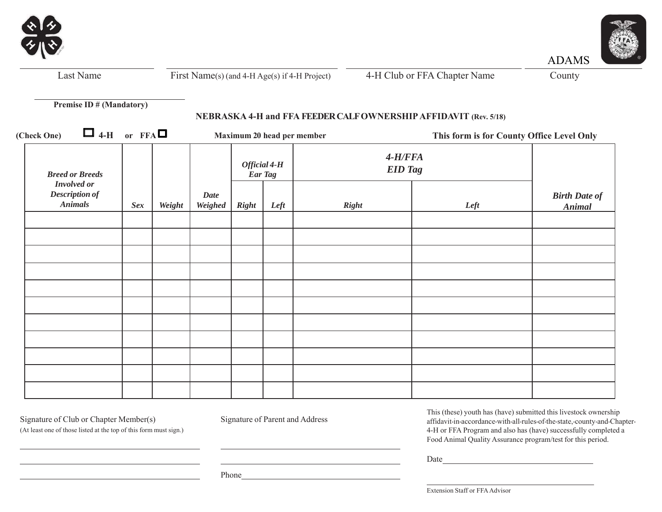



ADAMS

*Breed or Breeds Involved or Description of Animals Sex Weight DateWeighed Official 4-H Ear Tag 4-H/FFA EID Tag Birth Date of Right Left Right Left Animal* Last NameFirst Name(s) (and 4-H Age(s) if 4-H Project) 4-H Club or FFA Chapter Name County **Premise ID # (Mandatory) NEBRASKA 4-H and FFA FEEDER CALF OWNERSHIP AFFIDAVIT (Rev. 5/18) (Check One)**  $\Box$  4-H or FFA $\Box$  Maximum 20 head per member **This form is for County Office Level Only**

<u> 1980 - Johann Barn, mars eta bainar eta baina eta baina eta baina eta baina eta baina eta baina eta baina e</u>

Signature of Club or Chapter Member(s) Signature of Parent and Address (At least one of those listed at the top of this form must sign.)

This (these) youth has (have) submitted this livestock ownership affidavit-in-accordance-with-all-rules-of-the-state,-county-and-Chapter-4-H or FFA Program and also has (have) successfully completed a Food Animal Quality Assurance program/test for this period.

Date

Phone

Extension Staff or FFA Advisor